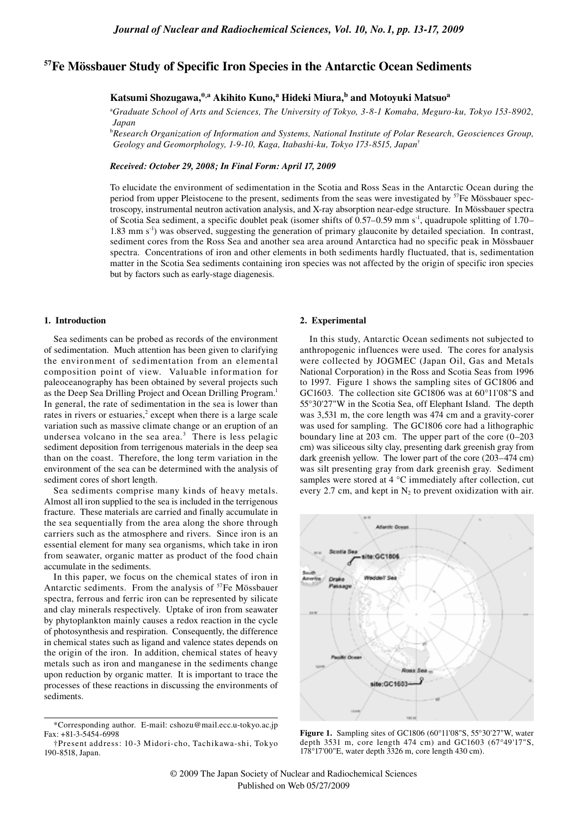# **57Fe Mössbauer Study of Specific Iron Species in the Antarctic Ocean Sediments**

**Katsumi Shozugawa,\*,a Akihito Kuno,<sup>a</sup> Hideki Miura,b and Motoyuki Matsuoa**

<sup>a</sup>*Graduate School of Arts and Sciences, The University of Tokyo, 3-8-1 Komaba, Meguro-ku, Tokyo 153-8902, Japan*

<sup>b</sup>*Research Organization of Information and Systems, National Institute of Polar Research, Geosciences Group, Geology and Geomorphology, 1-9-10, Kaga, Itabashi-ku, Tokyo 173-8515, Japan*†

*Received: October 29, 2008; In Final Form: April 17, 2009*

To elucidate the environment of sedimentation in the Scotia and Ross Seas in the Antarctic Ocean during the period from upper Pleistocene to the present, sediments from the seas were investigated by  ${}^{57}$ Fe Mössbauer spectroscopy, instrumental neutron activation analysis, and X-ray absorption near-edge structure. In Mössbauer spectra of Scotia Sea sediment, a specific doublet peak (isomer shifts of  $0.57-0.59$  mm s<sup>-1</sup>, quadrupole splitting of  $1.70-$ 1.83 mm s-1) was observed, suggesting the generation of primary glauconite by detailed speciation. In contrast, sediment cores from the Ross Sea and another sea area around Antarctica had no specific peak in Mössbauer spectra. Concentrations of iron and other elements in both sediments hardly fluctuated, that is, sedimentation matter in the Scotia Sea sediments containing iron species was not affected by the origin of specific iron species but by factors such as early-stage diagenesis.

### **1. Introduction**

Sea sediments can be probed as records of the environment of sedimentation. Much attention has been given to clarifying the environment of sedimentation from an elemental composition point of view. Valuable information for paleoceanography has been obtained by several projects such as the Deep Sea Drilling Project and Ocean Drilling Program.<sup>1</sup> In general, the rate of sedimentation in the sea is lower than rates in rivers or estuaries, $2$  except when there is a large scale variation such as massive climate change or an eruption of an undersea volcano in the sea area. $3$  There is less pelagic sediment deposition from terrigenous materials in the deep sea than on the coast. Therefore, the long term variation in the environment of the sea can be determined with the analysis of sediment cores of short length.

Sea sediments comprise many kinds of heavy metals. Almost all iron supplied to the sea is included in the terrigenous fracture. These materials are carried and finally accumulate in the sea sequentially from the area along the shore through carriers such as the atmosphere and rivers. Since iron is an essential element for many sea organisms, which take in iron from seawater, organic matter as product of the food chain accumulate in the sediments.

In this paper, we focus on the chemical states of iron in Antarctic sediments. From the analysis of <sup>57</sup>Fe Mössbauer spectra, ferrous and ferric iron can be represented by silicate and clay minerals respectively. Uptake of iron from seawater by phytoplankton mainly causes a redox reaction in the cycle of photosynthesis and respiration. Consequently, the difference in chemical states such as ligand and valence states depends on the origin of the iron. In addition, chemical states of heavy metals such as iron and manganese in the sediments change upon reduction by organic matter. It is important to trace the processes of these reactions in discussing the environments of sediments.

# **2. Experimental**

In this study, Antarctic Ocean sediments not subjected to anthropogenic influences were used. The cores for analysis were collected by JOGMEC (Japan Oil, Gas and Metals National Corporation) in the Ross and Scotia Seas from 1996 to 1997. Figure 1 shows the sampling sites of GC1806 and GC1603. The collection site GC1806 was at 60°11'08"S and 55°30'27"W in the Scotia Sea, off Elephant Island. The depth was 3,531 m, the core length was 474 cm and a gravity-corer was used for sampling. The GC1806 core had a lithographic boundary line at 203 cm. The upper part of the core  $(0-203)$ cm) was siliceous silty clay, presenting dark greenish gray from dark greenish yellow. The lower part of the core (203–474 cm) was silt presenting gray from dark greenish gray. Sediment samples were stored at 4 °C immediately after collection, cut every 2.7 cm, and kept in  $N_2$  to prevent oxidization with air.



**Figure 1.** Sampling sites of GC1806 (60°11'08"S, 55°30'27"W, water depth 3531 m, core length 474 cm) and GC1603 (67°49'17"S, 178°17'00"E, water depth 3326 m, core length 430 cm).

<sup>\*</sup>Corresponding author. E-mail: cshozu@mail.ecc.u-tokyo.ac.jp Fax: +81-3-5454-6998

<sup>†</sup>Present address: 10-3 Midori-cho, Tachikawa-shi, Tokyo 190-8518, Japan.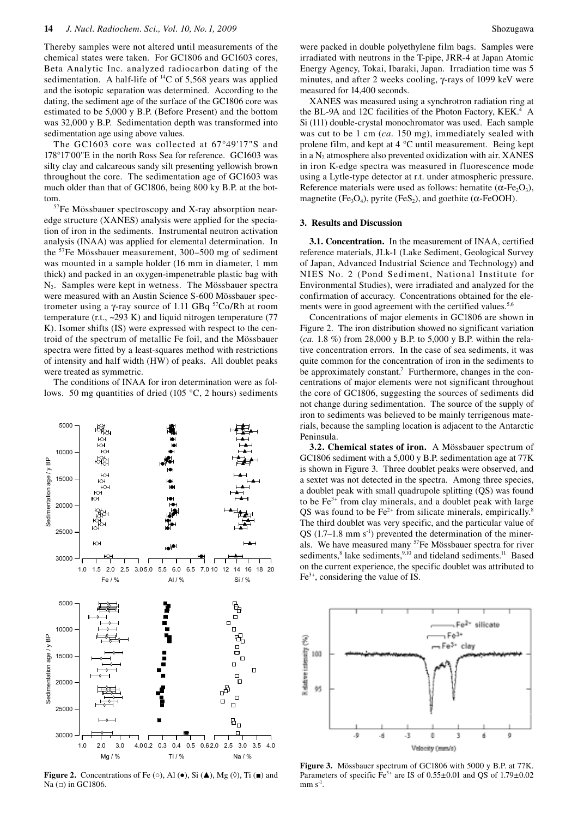Thereby samples were not altered until measurements of the chemical states were taken. For GC1806 and GC1603 cores, Beta Analytic Inc. analyzed radiocarbon dating of the sedimentation. A half-life of  ${}^{14}C$  of 5,568 years was applied and the isotopic separation was determined. According to the dating, the sediment age of the surface of the GC1806 core was estimated to be 5,000 y B.P. (Before Present) and the bottom was 32,000 y B.P. Sedimentation depth was transformed into sedimentation age using above values.

The GC1603 core was collected at 67°49'17"S and 178°17'00"E in the north Ross Sea for reference. GC1603 was silty clay and calcareous sandy silt presenting yellowish brown throughout the core. The sedimentation age of GC1603 was much older than that of GC1806, being 800 ky B.P. at the bottom.

57Fe Mössbauer spectroscopy and X-ray absorption nearedge structure (XANES) analysis were applied for the speciation of iron in the sediments. Instrumental neutron activation analysis (INAA) was applied for elemental determination. In the 57Fe Mössbauer measurement, 300–500 mg of sediment was mounted in a sample holder (16 mm in diameter, 1 mm thick) and packed in an oxygen-impenetrable plastic bag with N2. Samples were kept in wetness. The Mössbauer spectra were measured with an Austin Science S-600 Mössbauer spectrometer using a γ-ray source of 1.11 GBq  $57$ Co/Rh at room temperature (r.t., ~293 K) and liquid nitrogen temperature (77 K). Isomer shifts (IS) were expressed with respect to the centroid of the spectrum of metallic Fe foil, and the Mössbauer spectra were fitted by a least-squares method with restrictions of intensity and half width (HW) of peaks. All doublet peaks were treated as symmetric.

The conditions of INAA for iron determination were as follows. 50 mg quantities of dried (105 °C, 2 hours) sediments



**Figure 2.** Concentrations of Fe  $(\circ)$ , Al  $(\bullet)$ , Si  $(\triangle)$ , Mg  $(\lozenge)$ , Ti  $(\blacksquare)$  and Na  $($  $\Box$ ) in GC1806.

were packed in double polyethylene film bags. Samples were irradiated with neutrons in the T-pipe, JRR-4 at Japan Atomic Energy Agency, Tokai, Ibaraki, Japan. Irradiation time was 5 minutes, and after 2 weeks cooling, γ-rays of 1099 keV were measured for 14,400 seconds.

XANES was measured using a synchrotron radiation ring at the BL-9A and 12C facilities of the Photon Factory, KEK.<sup>4</sup> A Si (111) double-crystal monochromator was used. Each sample was cut to be 1 cm (*ca.* 150 mg), immediately sealed with prolene film, and kept at 4 °C until measurement. Being kept in a  $N<sub>2</sub>$  atmosphere also prevented oxidization with air. XANES in iron K-edge spectra was measured in fluorescence mode using a Lytle-type detector at r.t. under atmospheric pressure. Reference materials were used as follows: hematite ( $\alpha$ -Fe<sub>2</sub>O<sub>3</sub>), magnetite (Fe<sub>3</sub>O<sub>4</sub>), pyrite (FeS<sub>2</sub>), and goethite ( $\alpha$ -FeOOH).

#### **3. Results and Discussion**

**3.1. Concentration.** In the measurement of INAA, certified reference materials, JLk-1 (Lake Sediment, Geological Survey of Japan, Advanced Industrial Science and Technology) and NIES No. 2 (Pond Sediment, National Institute for Environmental Studies), were irradiated and analyzed for the confirmation of accuracy. Concentrations obtained for the elements were in good agreement with the certified values.<sup>5,6</sup>

Concentrations of major elements in GC1806 are shown in Figure 2. The iron distribution showed no significant variation (*ca.* 1.8 %) from 28,000 y B.P. to 5,000 y B.P. within the relative concentration errors. In the case of sea sediments, it was quite common for the concentration of iron in the sediments to be approximately constant.<sup>7</sup> Furthermore, changes in the concentrations of major elements were not significant throughout the core of GC1806, suggesting the sources of sediments did not change during sedimentation. The source of the supply of iron to sediments was believed to be mainly terrigenous materials, because the sampling location is adjacent to the Antarctic Peninsula.

**3.2. Chemical states of iron.** A Mössbauer spectrum of GC1806 sediment with a 5,000 y B.P. sedimentation age at 77K is shown in Figure 3. Three doublet peaks were observed, and a sextet was not detected in the spectra. Among three species, a doublet peak with small quadrupole splitting (QS) was found to be  $Fe<sup>3+</sup>$  from clay minerals, and a doublet peak with large QS was found to be  $Fe<sup>2+</sup>$  from silicate minerals, empirically. The third doublet was very specific, and the particular value of  $\overline{QS}$  (1.7–1.8 mm s<sup>-1</sup>) prevented the determination of the minerals. We have measured many <sup>57</sup>Fe Mössbauer spectra for river sediments,<sup>8</sup> lake sediments,<sup>9,10</sup> and tideland sediments.<sup>11</sup> Based on the current experience, the specific doublet was attributed to  $Fe<sup>3+</sup>$ , considering the value of IS.



**Figure 3.** Mössbauer spectrum of GC1806 with 5000 y B.P. at 77K. Parameters of specific Fe<sup>3+</sup> are IS of  $0.55\pm0.01$  and QS of  $1.79\pm0.02$  $mm s<sup>-1</sup>$ .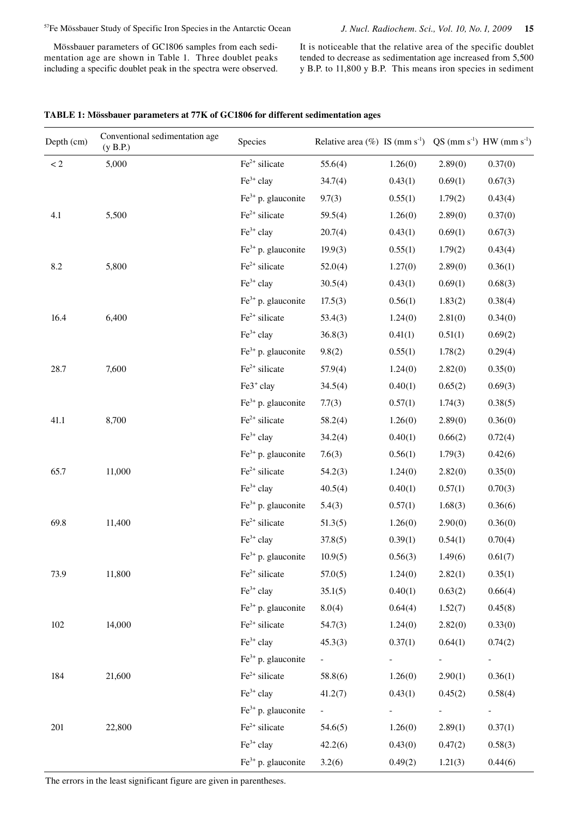Mössbauer parameters of GC1806 samples from each sedimentation age are shown in Table 1. Three doublet peaks including a specific doublet peak in the spectra were observed.

It is noticeable that the relative area of the specific doublet tended to decrease as sedimentation age increased from 5,500 y B.P. to 11,800 y B.P. This means iron species in sediment

| TABLE 1: Mössbauer parameters at 77K of GC1806 for different sedimentation ages |  |  |
|---------------------------------------------------------------------------------|--|--|
|                                                                                 |  |  |

| Depth (cm)         | Conventional sedimentation age<br>(y B.P.) | Species               | Relative area $(\%)$ IS (mm s <sup>-1</sup> ) QS (mm s <sup>-1</sup> ) HW (mm s <sup>-1</sup> ) |                     |         |                     |
|--------------------|--------------------------------------------|-----------------------|-------------------------------------------------------------------------------------------------|---------------------|---------|---------------------|
| $\ensuremath{<} 2$ | 5,000                                      | $Fe2+ silicate$       | 55.6(4)                                                                                         | 1.26(0)             | 2.89(0) | 0.37(0)             |
|                    |                                            | $Fe3+$ clay           | 34.7(4)                                                                                         | 0.43(1)             | 0.69(1) | 0.67(3)             |
|                    |                                            | $Fe3+ p. glauconite$  | 9.7(3)                                                                                          | 0.55(1)             | 1.79(2) | 0.43(4)             |
| 4.1                | 5,500                                      | $Fe2+ silicate$       | 59.5(4)                                                                                         | 1.26(0)             | 2.89(0) | 0.37(0)             |
|                    |                                            | $Fe3+$ clay           | 20.7(4)                                                                                         | 0.43(1)             | 0.69(1) | 0.67(3)             |
|                    |                                            | $Fe3+ p. glauconite$  | 19.9(3)                                                                                         | 0.55(1)             | 1.79(2) | 0.43(4)             |
| 8.2                | 5,800                                      | $Fe2+ silicate$       | 52.0(4)                                                                                         | 1.27(0)             | 2.89(0) | 0.36(1)             |
|                    |                                            | $Fe3+$ clay           | 30.5(4)                                                                                         | 0.43(1)             | 0.69(1) | 0.68(3)             |
|                    |                                            | $Fe3+ p. glauconite$  | 17.5(3)                                                                                         | 0.56(1)             | 1.83(2) | 0.38(4)             |
| 16.4               | 6,400                                      | $Fe2+ silicate$       | 53.4(3)                                                                                         | 1.24(0)             | 2.81(0) | 0.34(0)             |
|                    |                                            | $Fe3+$ clay           | 36.8(3)                                                                                         | 0.41(1)             | 0.51(1) | 0.69(2)             |
|                    |                                            | $Fe3+ p. glauconite$  | 9.8(2)                                                                                          | 0.55(1)             | 1.78(2) | 0.29(4)             |
| 28.7               | 7,600                                      | $Fe2+ silicate$       | 57.9(4)                                                                                         | 1.24(0)             | 2.82(0) | 0.35(0)             |
|                    |                                            | Fe3 <sup>+</sup> clay | 34.5(4)                                                                                         | 0.40(1)             | 0.65(2) | 0.69(3)             |
|                    |                                            | $Fe3+ p. glauconite$  | 7.7(3)                                                                                          | 0.57(1)             | 1.74(3) | 0.38(5)             |
| 41.1               | 8,700                                      | $Fe2+ silicate$       | 58.2(4)                                                                                         | 1.26(0)             | 2.89(0) | 0.36(0)             |
|                    |                                            | $Fe3+$ clay           | 34.2(4)                                                                                         | 0.40(1)             | 0.66(2) | 0.72(4)             |
|                    |                                            | $Fe3+ p. glauconite$  | 7.6(3)                                                                                          | 0.56(1)             | 1.79(3) | 0.42(6)             |
| 65.7               | 11,000                                     | $Fe2+ silicate$       | 54.2(3)                                                                                         | 1.24(0)             | 2.82(0) | 0.35(0)             |
|                    |                                            | $Fe3+$ clay           | 40.5(4)                                                                                         | 0.40(1)             | 0.57(1) | 0.70(3)             |
|                    |                                            | $Fe3+ p. glauconite$  | 5.4(3)                                                                                          | 0.57(1)             | 1.68(3) | 0.36(6)             |
| 69.8               | 11,400                                     | $Fe2+ silicate$       | 51.3(5)                                                                                         | 1.26(0)             | 2.90(0) | 0.36(0)             |
|                    |                                            | $Fe3+$ clay           | 37.8(5)                                                                                         | 0.39(1)             | 0.54(1) | 0.70(4)             |
|                    |                                            | $Fe3+ p. glauconite$  | 10.9(5)                                                                                         | 0.56(3)             | 1.49(6) | 0.61(7)             |
| 73.9               | 11,800                                     | $Fe2+ silicate$       | 57.0(5)                                                                                         | 1.24(0)             | 2.82(1) | 0.35(1)             |
|                    |                                            | $Fe3+$ clay           | 35.1(5)                                                                                         | 0.40(1)             | 0.63(2) | 0.66(4)             |
|                    |                                            | $Fe3+ p.$ glauconite  | 8.0(4)                                                                                          | 0.64(4)             | 1.52(7) | 0.45(8)             |
| $102\,$            | 14,000                                     | $Fe2+ silicate$       | 54.7(3)                                                                                         | 1.24(0)             | 2.82(0) | 0.33(0)             |
|                    |                                            | $Fe3+$ clay           | 45.3(3)                                                                                         | 0.37(1)             | 0.64(1) | 0.74(2)             |
|                    |                                            | $Fe3+ p.$ glauconite  | $\omega_{\rm{max}}$                                                                             | $\omega_{\rm{max}}$ | $\sim$  | $\omega_{\rm{max}}$ |
| 184                | 21,600                                     | $Fe2+ silicate$       | 58.8(6)                                                                                         | 1.26(0)             | 2.90(1) | 0.36(1)             |
|                    |                                            | $Fe3+$ clay           | 41.2(7)                                                                                         | 0.43(1)             | 0.45(2) | 0.58(4)             |
|                    |                                            | $Fe3+ p. glauconite$  | $\omega_{\rm{max}}$                                                                             | $\sim$              |         | $\equiv$            |
| 201                | 22,800                                     | $Fe2+ silicate$       | 54.6(5)                                                                                         | 1.26(0)             | 2.89(1) | 0.37(1)             |
|                    |                                            | $Fe3+$ clay           | 42.2(6)                                                                                         | 0.43(0)             | 0.47(2) | 0.58(3)             |
|                    |                                            | $Fe3+ p. glauconite$  | 3.2(6)                                                                                          | 0.49(2)             | 1.21(3) | 0.44(6)             |

The errors in the least significant figure are given in parentheses.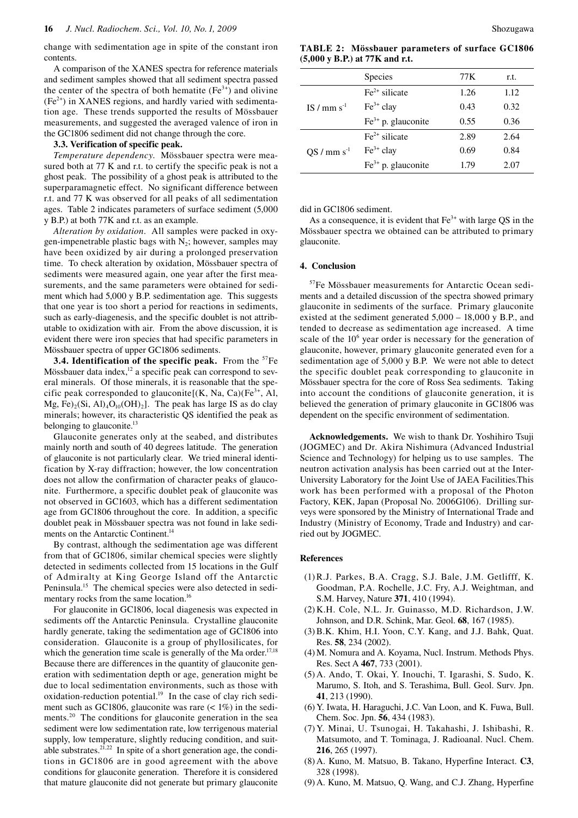change with sedimentation age in spite of the constant iron contents.

A comparison of the XANES spectra for reference materials and sediment samples showed that all sediment spectra passed the center of the spectra of both hematite  $(Fe<sup>3+</sup>)$  and olivine  $(Fe<sup>2+</sup>)$  in XANES regions, and hardly varied with sedimentation age. These trends supported the results of Mössbauer measurements, and suggested the averaged valence of iron in the GC1806 sediment did not change through the core.

## **3.3. Verification of specific peak.**

*Temperature dependency*. Mössbauer spectra were measured both at 77 K and r.t. to certify the specific peak is not a ghost peak. The possibility of a ghost peak is attributed to the superparamagnetic effect. No significant difference between r.t. and 77 K was observed for all peaks of all sedimentation ages. Table 2 indicates parameters of surface sediment (5,000 y B.P.) at both 77K and r.t. as an example.

*Alteration by oxidation*. All samples were packed in oxygen-impenetrable plastic bags with  $N_2$ ; however, samples may have been oxidized by air during a prolonged preservation time. To check alteration by oxidation, Mössbauer spectra of sediments were measured again, one year after the first measurements, and the same parameters were obtained for sediment which had 5,000 y B.P. sedimentation age. This suggests that one year is too short a period for reactions in sediments, such as early-diagenesis, and the specific doublet is not attributable to oxidization with air. From the above discussion, it is evident there were iron species that had specific parameters in Mössbauer spectra of upper GC1806 sediments.

**3.4. Identification of the specific peak.** From the <sup>57</sup>Fe Mössbauer data index, $12$  a specific peak can correspond to several minerals. Of those minerals, it is reasonable that the specific peak corresponded to glauconite $[(K, Na, Ca)(Fe<sup>3+</sup>, Al,$ Mg, Fe $_2(Si, Al)_4O_{10}(OH)_2$ . The peak has large IS as do clay minerals; however, its characteristic QS identified the peak as belonging to glauconite.<sup>13</sup>

Glauconite generates only at the seabed, and distributes mainly north and south of 40 degrees latitude. The generation of glauconite is not particularly clear. We tried mineral identification by X-ray diffraction; however, the low concentration does not allow the confirmation of character peaks of glauconite. Furthermore, a specific doublet peak of glauconite was not observed in GC1603, which has a different sedimentation age from GC1806 throughout the core. In addition, a specific doublet peak in Mössbauer spectra was not found in lake sediments on the Antarctic Continent.<sup>14</sup>

By contrast, although the sedimentation age was different from that of GC1806, similar chemical species were slightly detected in sediments collected from 15 locations in the Gulf of Admiralty at King George Island off the Antarctic Peninsula.15 The chemical species were also detected in sedimentary rocks from the same location.<sup>16</sup>

For glauconite in GC1806, local diagenesis was expected in sediments off the Antarctic Peninsula. Crystalline glauconite hardly generate, taking the sedimentation age of GC1806 into consideration. Glauconite is a group of phyllosilicates, for which the generation time scale is generally of the Ma order.<sup>17,18</sup> Because there are differences in the quantity of glauconite generation with sedimentation depth or age, generation might be due to local sedimentation environments, such as those with oxidation-reduction potential. $19$  In the case of clay rich sediment such as GC1806, glauconite was rare  $($  < 1%) in the sediments.20 The conditions for glauconite generation in the sea sediment were low sedimentation rate, low terrigenous material supply, low temperature, slightly reducing condition, and suitable substrates.<sup>21,22</sup> In spite of a short generation age, the conditions in GC1806 are in good agreement with the above conditions for glauconite generation. Therefore it is considered that mature glauconite did not generate but primary glauconite

**TABLE 2: Mössbauer parameters of surface GC1806 (5,000 y B.P.) at 77K and r.t.**

|                           | <b>Species</b>       | 77 K | r.t. |
|---------------------------|----------------------|------|------|
| IS $/$ mm s <sup>-1</sup> | $Fe2+ silicate$      | 1.26 | 1.12 |
|                           | $Fe3+$ clay          | 0.43 | 0.32 |
|                           | $Fe3+ p.$ glauconite | 0.55 | 0.36 |
| $QS / mm s^{-1}$          | $Fe2+ silicate$      | 2.89 | 2.64 |
|                           | $Fe3+$ clay          | 0.69 | 0.84 |
|                           | $Fe3+ p.$ glauconite | 1.79 | 2.07 |

did in GC1806 sediment.

As a consequence, it is evident that  $Fe<sup>3+</sup>$  with large QS in the Mössbauer spectra we obtained can be attributed to primary glauconite.

### **4. Conclusion**

57Fe Mössbauer measurements for Antarctic Ocean sediments and a detailed discussion of the spectra showed primary glauconite in sediments of the surface. Primary glauconite existed at the sediment generated 5,000 – 18,000 y B.P., and tended to decrease as sedimentation age increased. A time scale of the  $10<sup>6</sup>$  year order is necessary for the generation of glauconite, however, primary glauconite generated even for a sedimentation age of 5,000 y B.P. We were not able to detect the specific doublet peak corresponding to glauconite in Mössbauer spectra for the core of Ross Sea sediments. Taking into account the conditions of glauconite generation, it is believed the generation of primary glauconite in GC1806 was dependent on the specific environment of sedimentation.

**Acknowledgements.** We wish to thank Dr. Yoshihiro Tsuji (JOGMEC) and Dr. Akira Nishimura (Advanced Industrial Science and Technology) for helping us to use samples. The neutron activation analysis has been carried out at the Inter-University Laboratory for the Joint Use of JAEA Facilities.This work has been performed with a proposal of the Photon Factory, KEK, Japan (Proposal No. 2006G106). Drilling surveys were sponsored by the Ministry of International Trade and Industry (Ministry of Economy, Trade and Industry) and carried out by JOGMEC.

# **References**

- (1) R.J. Parkes, B.A. Cragg, S.J. Bale, J.M. Getlifff, K. Goodman, P.A. Rochelle, J.C. Fry, A.J. Weightman, and S.M. Harvey, Nature **371**, 410 (1994).
- (2) K.H. Cole, N.L. Jr. Guinasso, M.D. Richardson, J.W. Johnson, and D.R. Schink, Mar. Geol. **68**, 167 (1985).
- (3) B.K. Khim, H.I. Yoon, C.Y. Kang, and J.J. Bahk, Quat. Res. **58**, 234 (2002).
- (4) M. Nomura and A. Koyama, Nucl. Instrum. Methods Phys. Res. Sect A **467**, 733 (2001).
- (5) A. Ando, T. Okai, Y. Inouchi, T. Igarashi, S. Sudo, K. Marumo, S. Itoh, and S. Terashima, Bull. Geol. Surv. Jpn. **41**, 213 (1990).
- (6) Y. Iwata, H. Haraguchi, J.C. Van Loon, and K. Fuwa, Bull. Chem. Soc. Jpn. **56**, 434 (1983).
- (7) Y. Minai, U. Tsunogai, H. Takahashi, J. Ishibashi, R. Matsumoto, and T. Tominaga, J. Radioanal. Nucl. Chem. **216**, 265 (1997).
- (8) A. Kuno, M. Matsuo, B. Takano, Hyperfine Interact. **C3**, 328 (1998).
- (9) A. Kuno, M. Matsuo, Q. Wang, and C.J. Zhang, Hyperfine